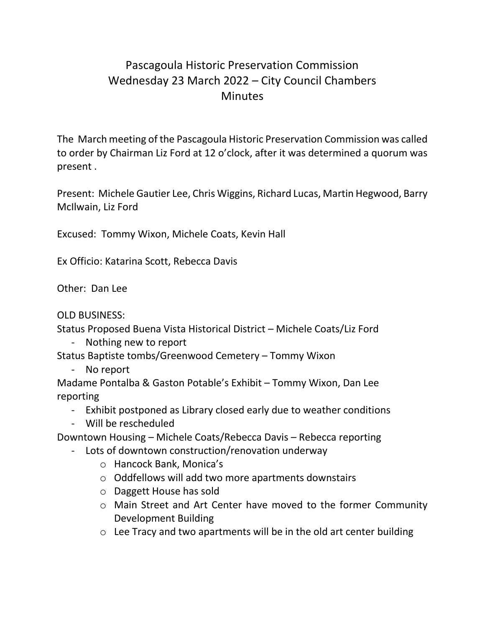## Pascagoula Historic Preservation Commission Wednesday 23 March 2022 – City Council Chambers **Minutes**

The March meeting of the Pascagoula Historic Preservation Commission was called to order by Chairman Liz Ford at 12 o'clock, after it was determined a quorum was present .

Present: Michele Gautier Lee, Chris Wiggins, Richard Lucas, Martin Hegwood, Barry McIlwain, Liz Ford

Excused: Tommy Wixon, Michele Coats, Kevin Hall

Ex Officio: Katarina Scott, Rebecca Davis

Other: Dan Lee

OLD BUSINESS:

Status Proposed Buena Vista Historical District – Michele Coats/Liz Ford

- Nothing new to report

Status Baptiste tombs/Greenwood Cemetery – Tommy Wixon

- No report

Madame Pontalba & Gaston Potable's Exhibit – Tommy Wixon, Dan Lee reporting

- Exhibit postponed as Library closed early due to weather conditions
- Will be rescheduled

Downtown Housing – Michele Coats/Rebecca Davis – Rebecca reporting

- Lots of downtown construction/renovation underway
	- o Hancock Bank, Monica's
	- o Oddfellows will add two more apartments downstairs
	- o Daggett House has sold
	- o Main Street and Art Center have moved to the former Community Development Building
	- $\circ$  Lee Tracy and two apartments will be in the old art center building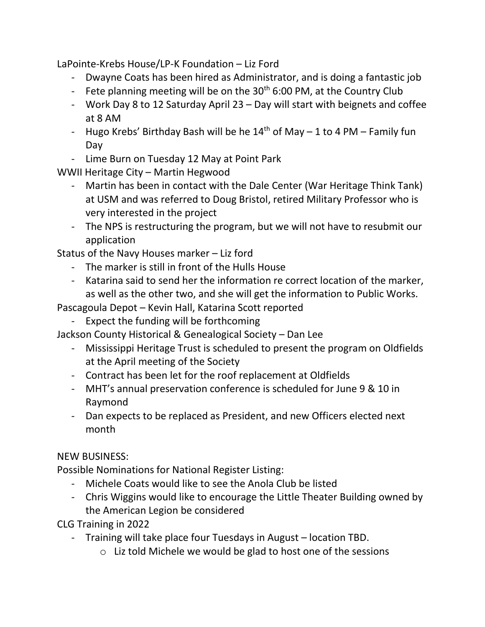LaPointe-Krebs House/LP-K Foundation – Liz Ford

- Dwayne Coats has been hired as Administrator, and is doing a fantastic job
- Fete planning meeting will be on the  $30<sup>th</sup> 6:00$  PM, at the Country Club
- Work Day 8 to 12 Saturday April 23 Day will start with beignets and coffee at 8 AM
- Hugo Krebs' Birthday Bash will be he  $14<sup>th</sup>$  of May 1 to 4 PM Family fun Day
- Lime Burn on Tuesday 12 May at Point Park

WWII Heritage City – Martin Hegwood

- Martin has been in contact with the Dale Center (War Heritage Think Tank) at USM and was referred to Doug Bristol, retired Military Professor who is very interested in the project
- The NPS is restructuring the program, but we will not have to resubmit our application

Status of the Navy Houses marker – Liz ford

- The marker is still in front of the Hulls House
- Katarina said to send her the information re correct location of the marker, as well as the other two, and she will get the information to Public Works.

Pascagoula Depot – Kevin Hall, Katarina Scott reported

Expect the funding will be forthcoming

Jackson County Historical & Genealogical Society – Dan Lee

- Mississippi Heritage Trust is scheduled to present the program on Oldfields at the April meeting of the Society
- Contract has been let for the roof replacement at Oldfields
- MHT's annual preservation conference is scheduled for June 9 & 10 in Raymond
- Dan expects to be replaced as President, and new Officers elected next month

## NEW BUSINESS:

Possible Nominations for National Register Listing:

- Michele Coats would like to see the Anola Club be listed
- Chris Wiggins would like to encourage the Little Theater Building owned by the American Legion be considered

CLG Training in 2022

- Training will take place four Tuesdays in August location TBD.
	- o Liz told Michele we would be glad to host one of the sessions